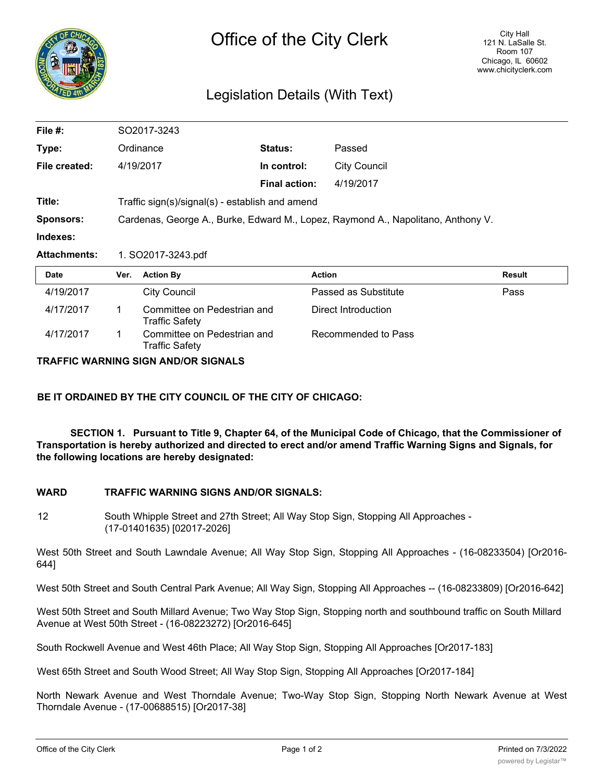

## Legislation Details (With Text)

| File $#$ :          | SO2017-3243                                                                      |                                                      |                      |                      |               |
|---------------------|----------------------------------------------------------------------------------|------------------------------------------------------|----------------------|----------------------|---------------|
| Type:               | Ordinance                                                                        |                                                      | <b>Status:</b>       | Passed               |               |
| File created:       |                                                                                  | 4/19/2017                                            | In control:          | <b>City Council</b>  |               |
|                     |                                                                                  |                                                      | <b>Final action:</b> | 4/19/2017            |               |
| Title:              | Traffic sign(s)/signal(s) - establish and amend                                  |                                                      |                      |                      |               |
| <b>Sponsors:</b>    | Cardenas, George A., Burke, Edward M., Lopez, Raymond A., Napolitano, Anthony V. |                                                      |                      |                      |               |
| Indexes:            |                                                                                  |                                                      |                      |                      |               |
| <b>Attachments:</b> | 1. SO2017-3243.pdf                                                               |                                                      |                      |                      |               |
| <b>Date</b>         | Ver.                                                                             | <b>Action By</b>                                     |                      | <b>Action</b>        | <b>Result</b> |
| 4/19/2017           |                                                                                  | <b>City Council</b>                                  |                      | Passed as Substitute | Pass          |
| 4/17/2017           | 1                                                                                | Committee on Pedestrian and<br><b>Traffic Safety</b> |                      | Direct Introduction  |               |
| 4/17/2017           | 1.                                                                               | Committee on Pedestrian and<br>Traffic Safety        |                      | Recommended to Pass  |               |

**TRAFFIC WARNING SIGN AND/OR SIGNALS**

**BE IT ORDAINED BY THE CITY COUNCIL OF THE CITY OF CHICAGO:**

**SECTION 1. Pursuant to Title 9, Chapter 64, of the Municipal Code of Chicago, that the Commissioner of Transportation is hereby authorized and directed to erect and/or amend Traffic Warning Signs and Signals, for the following locations are hereby designated:**

## **WARD TRAFFIC WARNING SIGNS AND/OR SIGNALS:**

12 South Whipple Street and 27th Street; All Way Stop Sign, Stopping All Approaches - (17-01401635) [02017-2026]

West 50th Street and South Lawndale Avenue; All Way Stop Sign, Stopping All Approaches - (16-08233504) [Or2016- 644]

West 50th Street and South Central Park Avenue; All Way Sign, Stopping All Approaches -- (16-08233809) [Or2016-642]

West 50th Street and South Millard Avenue; Two Way Stop Sign, Stopping north and southbound traffic on South Millard Avenue at West 50th Street - (16-08223272) [Or2016-645]

South Rockwell Avenue and West 46th Place; All Way Stop Sign, Stopping All Approaches [Or2017-183]

West 65th Street and South Wood Street; All Way Stop Sign, Stopping All Approaches [Or2017-184]

North Newark Avenue and West Thorndale Avenue; Two-Way Stop Sign, Stopping North Newark Avenue at West Thorndale Avenue - (17-00688515) [Or2017-38]